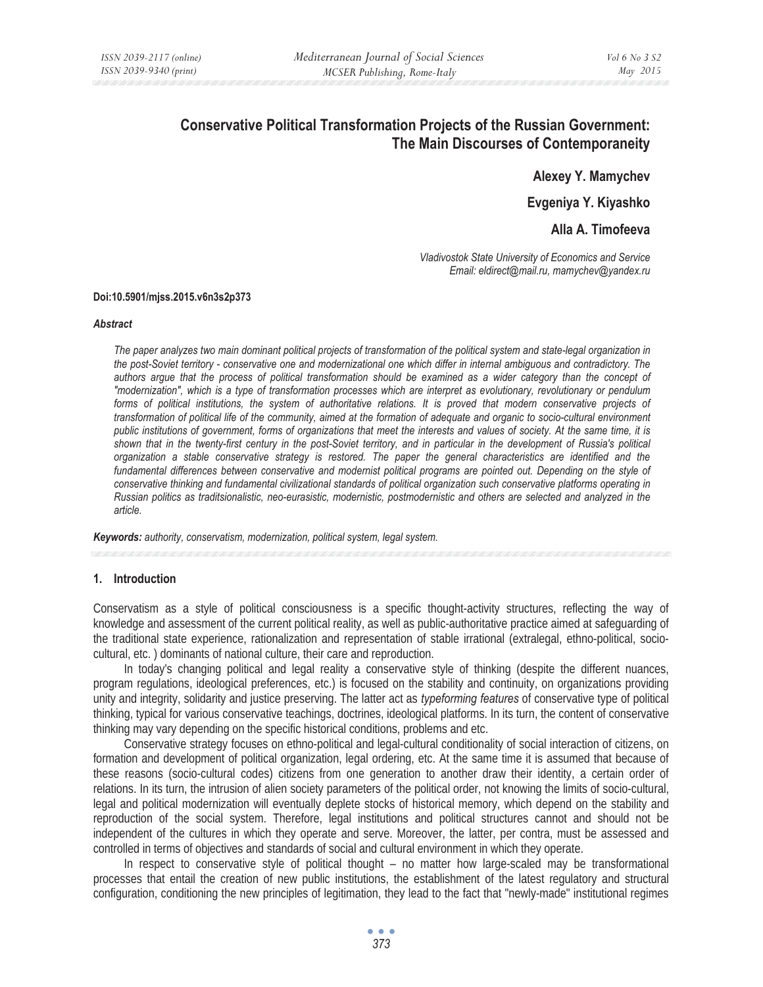# **Conservative Political Transformation Projects of the Russian Government: The Main Discourses of Contemporaneity**

**Alexey Y. Mamychev** 

**Evgeniya Y. Kiyashko** 

**Alla A. Timofeeva** 

*Vladivostok State University of Economics and Service Email: eldirect@mail.ru, mamychev@yandex.ru* 

#### **Doi:10.5901/mjss.2015.v6n3s2p373**

#### *Abstract*

*The paper analyzes two main dominant political projects of transformation of the political system and state-legal organization in the post-Soviet territory - conservative one and modernizational one which differ in internal ambiguous and contradictory. The authors argue that the process of political transformation should be examined as a wider category than the concept of "modernization", which is a type of transformation processes which are interpret as evolutionary, revolutionary or pendulum*  forms of political institutions, the system of authoritative relations. It is proved that modern conservative projects of *transformation of political life of the community, aimed at the formation of adequate and organic to socio-cultural environment public institutions of government, forms of organizations that meet the interests and values of society. At the same time, it is shown that in the twenty-first century in the post-Soviet territory, and in particular in the development of Russia's political organization a stable conservative strategy is restored. The paper the general characteristics are identified and the*  fundamental differences between conservative and modernist political programs are pointed out. Depending on the style of *conservative thinking and fundamental civilizational standards of political organization such conservative platforms operating in Russian politics as traditsionalistic, neo-eurasistic, modernistic, postmodernistic and others are selected and analyzed in the article.* 

*Keywords: authority, conservatism, modernization, political system, legal system.*

### **1. Introduction**

Conservatism as a style of political consciousness is a specific thought-activity structures, reflecting the way of knowledge and assessment of the current political reality, as well as public-authoritative practice aimed at safeguarding of the traditional state experience, rationalization and representation of stable irrational (extralegal, ethno-political, sociocultural, etc. ) dominants of national culture, their care and reproduction.

In today's changing political and legal reality a conservative style of thinking (despite the different nuances, program regulations, ideological preferences, etc.) is focused on the stability and continuity, on organizations providing unity and integrity, solidarity and justice preserving. The latter act as *typeforming features* of conservative type of political thinking, typical for various conservative teachings, doctrines, ideological platforms. In its turn, the content of conservative thinking may vary depending on the specific historical conditions, problems and etc.

Conservative strategy focuses on ethno-political and legal-cultural conditionality of social interaction of citizens, on formation and development of political organization, legal ordering, etc. At the same time it is assumed that because of these reasons (socio-cultural codes) citizens from one generation to another draw their identity, a certain order of relations. In its turn, the intrusion of alien society parameters of the political order, not knowing the limits of socio-cultural, legal and political modernization will eventually deplete stocks of historical memory, which depend on the stability and reproduction of the social system. Therefore, legal institutions and political structures cannot and should not be independent of the cultures in which they operate and serve. Moreover, the latter, per contra, must be assessed and controlled in terms of objectives and standards of social and cultural environment in which they operate.

In respect to conservative style of political thought – no matter how large-scaled may be transformational processes that entail the creation of new public institutions, the establishment of the latest regulatory and structural configuration, conditioning the new principles of legitimation, they lead to the fact that "newly-made" institutional regimes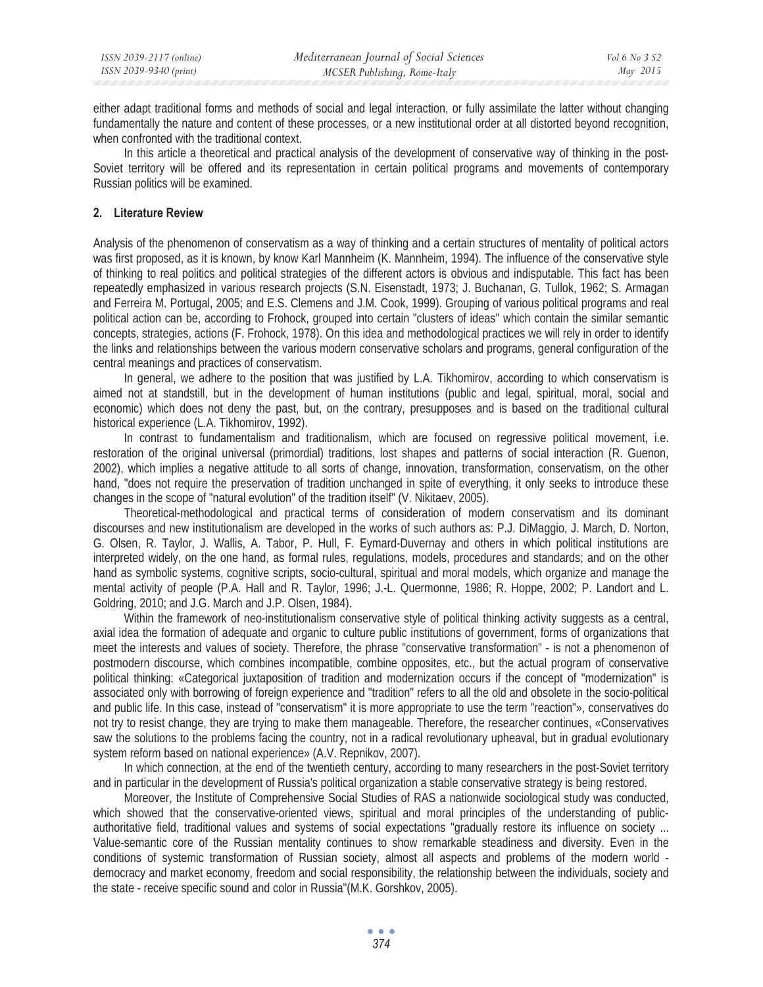either adapt traditional forms and methods of social and legal interaction, or fully assimilate the latter without changing fundamentally the nature and content of these processes, or a new institutional order at all distorted beyond recognition, when confronted with the traditional context.

In this article a theoretical and practical analysis of the development of conservative way of thinking in the post-Soviet territory will be offered and its representation in certain political programs and movements of contemporary Russian politics will be examined.

## **2. Literature Review**

Analysis of the phenomenon of conservatism as a way of thinking and a certain structures of mentality of political actors was first proposed, as it is known, by know Karl Mannheim (K. Mannheim, 1994). The influence of the conservative style of thinking to real politics and political strategies of the different actors is obvious and indisputable. This fact has been repeatedly emphasized in various research projects (S.N. Eisenstadt, 1973; J. Buchanan, G. Tullok, 1962; S. Armagan and Ferreira M. Portugal, 2005; and E.S. Clemens and J.M. Cook, 1999). Grouping of various political programs and real political action can be, according to Frohock, grouped into certain "clusters of ideas" which contain the similar semantic concepts, strategies, actions (F. Frohock, 1978). On this idea and methodological practices we will rely in order to identify the links and relationships between the various modern conservative scholars and programs, general configuration of the central meanings and practices of conservatism.

In general, we adhere to the position that was justified by L.A. Tikhomirov, according to which conservatism is aimed not at standstill, but in the development of human institutions (public and legal, spiritual, moral, social and economic) which does not deny the past, but, on the contrary, presupposes and is based on the traditional cultural historical experience (L.A. Tikhomirov, 1992).

In contrast to fundamentalism and traditionalism, which are focused on regressive political movement, i.e. restoration of the original universal (primordial) traditions, lost shapes and patterns of social interaction (R. Guenon, 2002), which implies a negative attitude to all sorts of change, innovation, transformation, conservatism, on the other hand, "does not require the preservation of tradition unchanged in spite of everything, it only seeks to introduce these changes in the scope of "natural evolution" of the tradition itself" (V. Nikitaev, 2005).

Theoretical-methodological and practical terms of consideration of modern conservatism and its dominant discourses and new institutionalism are developed in the works of such authors as: P.J. DiMaggio, J. March, D. Norton, G. Olsen, R. Taylor, J. Wallis, A. Tabor, P. Hull, F. Eymard-Duvernay and others in which political institutions are interpreted widely, on the one hand, as formal rules, regulations, models, procedures and standards; and on the other hand as symbolic systems, cognitive scripts, socio-cultural, spiritual and moral models, which organize and manage the mental activity of people (P.A. Hall and R. Taylor, 1996; J.-L. Quermonne, 1986; R. Hoppe, 2002; P. Landort and L. Goldring, 2010; and J.G. March and J.P. Olsen, 1984).

Within the framework of neo-institutionalism conservative style of political thinking activity suggests as a central, axial idea the formation of adequate and organic to culture public institutions of government, forms of organizations that meet the interests and values of society. Therefore, the phrase "conservative transformation" - is not a phenomenon of postmodern discourse, which combines incompatible, combine opposites, etc., but the actual program of conservative political thinking: «Categorical juxtaposition of tradition and modernization occurs if the concept of "modernization" is associated only with borrowing of foreign experience and "tradition" refers to all the old and obsolete in the socio-political and public life. In this case, instead of "conservatism" it is more appropriate to use the term "reaction"», conservatives do not try to resist change, they are trying to make them manageable. Therefore, the researcher continues, «Conservatives saw the solutions to the problems facing the country, not in a radical revolutionary upheaval, but in gradual evolutionary system reform based on national experience» (A.V. Repnikov, 2007).

In which connection, at the end of the twentieth century, according to many researchers in the post-Soviet territory and in particular in the development of Russia's political organization a stable conservative strategy is being restored.

Moreover, the Institute of Comprehensive Social Studies of RAS a nationwide sociological study was conducted, which showed that the conservative-oriented views, spiritual and moral principles of the understanding of publicauthoritative field, traditional values and systems of social expectations "gradually restore its influence on society ... Value-semantic core of the Russian mentality continues to show remarkable steadiness and diversity. Even in the conditions of systemic transformation of Russian society, almost all aspects and problems of the modern world democracy and market economy, freedom and social responsibility, the relationship between the individuals, society and the state - receive specific sound and color in Russia"(M.K. Gorshkov, 2005).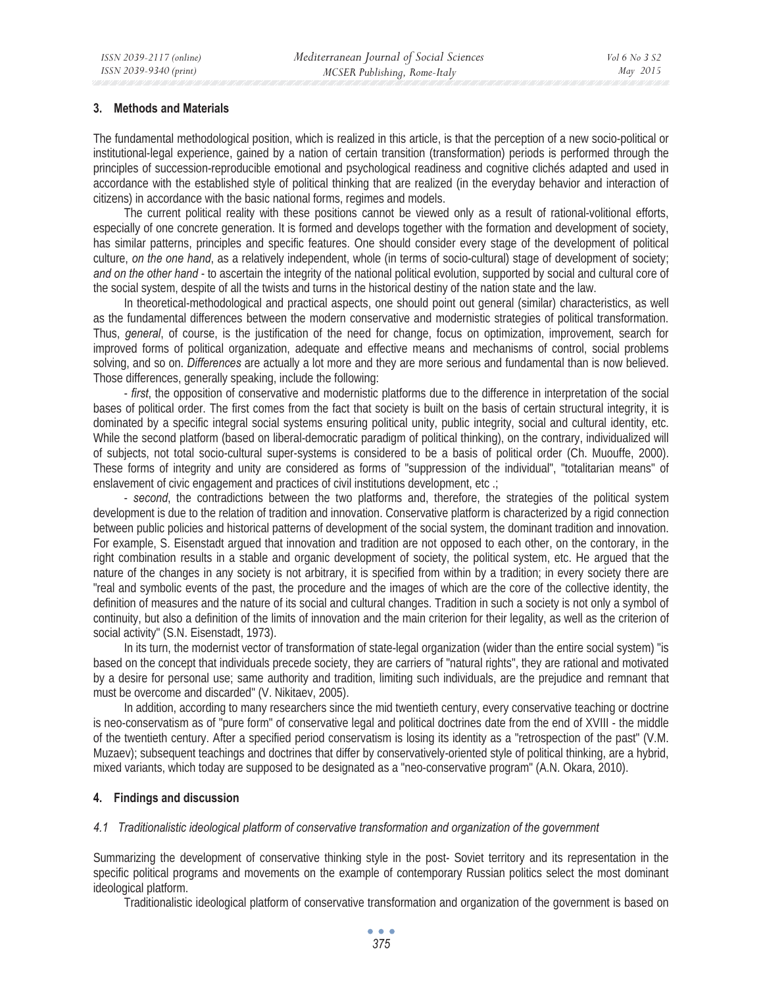### **3. Methods and Materials**

The fundamental methodological position, which is realized in this article, is that the perception of a new socio-political or institutional-legal experience, gained by a nation of certain transition (transformation) periods is performed through the principles of succession-reproducible emotional and psychological readiness and cognitive clichés adapted and used in accordance with the established style of political thinking that are realized (in the everyday behavior and interaction of citizens) in accordance with the basic national forms, regimes and models.

The current political reality with these positions cannot be viewed only as a result of rational-volitional efforts, especially of one concrete generation. It is formed and develops together with the formation and development of society, has similar patterns, principles and specific features. One should consider every stage of the development of political culture, *on the one hand*, as a relatively independent, whole (in terms of socio-cultural) stage of development of society; *and on the other hand* - to ascertain the integrity of the national political evolution, supported by social and cultural core of the social system, despite of all the twists and turns in the historical destiny of the nation state and the law.

In theoretical-methodological and practical aspects, one should point out general (similar) characteristics, as well as the fundamental differences between the modern conservative and modernistic strategies of political transformation. Thus, *general*, of course, is the justification of the need for change, focus on optimization, improvement, search for improved forms of political organization, adequate and effective means and mechanisms of control, social problems solving, and so on. *Differences* are actually a lot more and they are more serious and fundamental than is now believed. Those differences, generally speaking, include the following:

- *first*, the opposition of conservative and modernistic platforms due to the difference in interpretation of the social bases of political order. The first comes from the fact that society is built on the basis of certain structural integrity, it is dominated by a specific integral social systems ensuring political unity, public integrity, social and cultural identity, etc. While the second platform (based on liberal-democratic paradigm of political thinking), on the contrary, individualized will of subjects, not total socio-cultural super-systems is considered to be a basis of political order (Ch. Muouffe, 2000). These forms of integrity and unity are considered as forms of "suppression of the individual", "totalitarian means" of enslavement of civic engagement and practices of civil institutions development, etc .;

- *second*, the contradictions between the two platforms and, therefore, the strategies of the political system development is due to the relation of tradition and innovation. Conservative platform is characterized by a rigid connection between public policies and historical patterns of development of the social system, the dominant tradition and innovation. For example, S. Eisenstadt argued that innovation and tradition are not opposed to each other, on the contorary, in the right combination results in a stable and organic development of society, the political system, etc. He argued that the nature of the changes in any society is not arbitrary, it is specified from within by a tradition; in every society there are "real and symbolic events of the past, the procedure and the images of which are the core of the collective identity, the definition of measures and the nature of its social and cultural changes. Tradition in such a society is not only a symbol of continuity, but also a definition of the limits of innovation and the main criterion for their legality, as well as the criterion of social activity" (S.N. Eisenstadt, 1973).

In its turn, the modernist vector of transformation of state-legal organization (wider than the entire social system) "is based on the concept that individuals precede society, they are carriers of "natural rights", they are rational and motivated by a desire for personal use; same authority and tradition, limiting such individuals, are the prejudice and remnant that must be overcome and discarded" (V. Nikitaev, 2005).

In addition, according to many researchers since the mid twentieth century, every conservative teaching or doctrine is neo-conservatism as of "pure form" of conservative legal and political doctrines date from the end of XVIII - the middle of the twentieth century. After a specified period conservatism is losing its identity as a "retrospection of the past" (V.M. Muzaev); subsequent teachings and doctrines that differ by conservatively-oriented style of political thinking, are a hybrid, mixed variants, which today are supposed to be designated as a "neo-conservative program" (A.N. Okara, 2010).

### **4. Findings and discussion**

### *4.1 Traditionalistic ideological platform of conservative transformation and organization of the government*

Summarizing the development of conservative thinking style in the post- Soviet territory and its representation in the specific political programs and movements on the example of contemporary Russian politics select the most dominant ideological platform.

Traditionalistic ideological platform of conservative transformation and organization of the government is based on

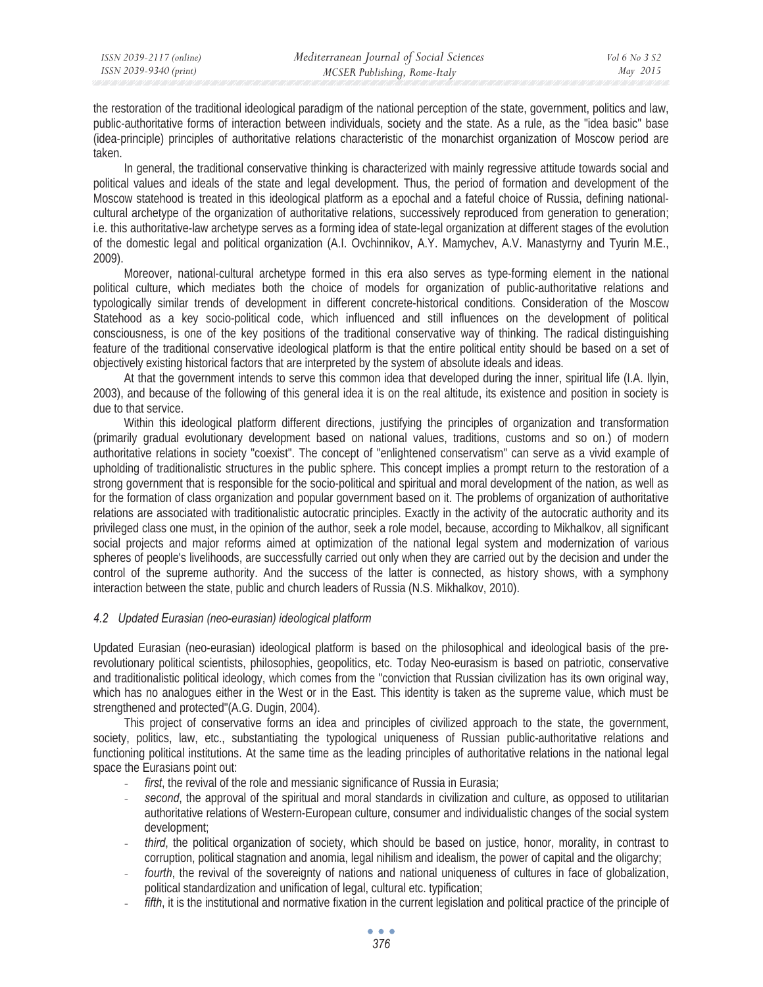the restoration of the traditional ideological paradigm of the national perception of the state, government, politics and law, public-authoritative forms of interaction between individuals, society and the state. As a rule, as the "idea basic" base (idea-principle) principles of authoritative relations characteristic of the monarchist organization of Moscow period are taken.

In general, the traditional conservative thinking is characterized with mainly regressive attitude towards social and political values and ideals of the state and legal development. Thus, the period of formation and development of the Moscow statehood is treated in this ideological platform as a epochal and a fateful choice of Russia, defining nationalcultural archetype of the organization of authoritative relations, successively reproduced from generation to generation; i.e. this authoritative-law archetype serves as a forming idea of state-legal organization at different stages of the evolution of the domestic legal and political organization (A.I. Ovchinnikov, A.Y. Mamychev, A.V. Manastyrny and Tyurin M.E., 2009).

Moreover, national-cultural archetype formed in this era also serves as type-forming element in the national political culture, which mediates both the choice of models for organization of public-authoritative relations and typologically similar trends of development in different concrete-historical conditions. Consideration of the Moscow Statehood as a key socio-political code, which influenced and still influences on the development of political consciousness, is one of the key positions of the traditional conservative way of thinking. The radical distinguishing feature of the traditional conservative ideological platform is that the entire political entity should be based on a set of objectively existing historical factors that are interpreted by the system of absolute ideals and ideas.

At that the government intends to serve this common idea that developed during the inner, spiritual life (I.A. Ilyin, 2003), and because of the following of this general idea it is on the real altitude, its existence and position in society is due to that service.

Within this ideological platform different directions, justifying the principles of organization and transformation (primarily gradual evolutionary development based on national values, traditions, customs and so on.) of modern authoritative relations in society "coexist". The concept of "enlightened conservatism" can serve as a vivid example of upholding of traditionalistic structures in the public sphere. This concept implies a prompt return to the restoration of a strong government that is responsible for the socio-political and spiritual and moral development of the nation, as well as for the formation of class organization and popular government based on it. The problems of organization of authoritative relations are associated with traditionalistic autocratic principles. Exactly in the activity of the autocratic authority and its privileged class one must, in the opinion of the author, seek a role model, because, according to Mikhalkov, all significant social projects and major reforms aimed at optimization of the national legal system and modernization of various spheres of people's livelihoods, are successfully carried out only when they are carried out by the decision and under the control of the supreme authority. And the success of the latter is connected, as history shows, with a symphony interaction between the state, public and church leaders of Russia (N.S. Mikhalkov, 2010).

## *4.2 Updated Eurasian (neo-eurasian) ideological platform*

Updated Eurasian (neo-eurasian) ideological platform is based on the philosophical and ideological basis of the prerevolutionary political scientists, philosophies, geopolitics, etc. Today Neo-eurasism is based on patriotic, conservative and traditionalistic political ideology, which comes from the "conviction that Russian civilization has its own original way, which has no analogues either in the West or in the East. This identity is taken as the supreme value, which must be strengthened and protected"(A.G. Dugin, 2004).

This project of conservative forms an idea and principles of civilized approach to the state, the government, society, politics, law, etc., substantiating the typological uniqueness of Russian public-authoritative relations and functioning political institutions. At the same time as the leading principles of authoritative relations in the national legal space the Eurasians point out:

- *first*, the revival of the role and messianic significance of Russia in Eurasia;
- second, the approval of the spiritual and moral standards in civilization and culture, as opposed to utilitarian authoritative relations of Western-European culture, consumer and individualistic changes of the social system development;
- *third*, the political organization of society, which should be based on justice, honor, morality, in contrast to corruption, political stagnation and anomia, legal nihilism and idealism, the power of capital and the oligarchy;
- *fourth*, the revival of the sovereignty of nations and national uniqueness of cultures in face of globalization, political standardization and unification of legal, cultural etc. typification;
- fifth, it is the institutional and normative fixation in the current legislation and political practice of the principle of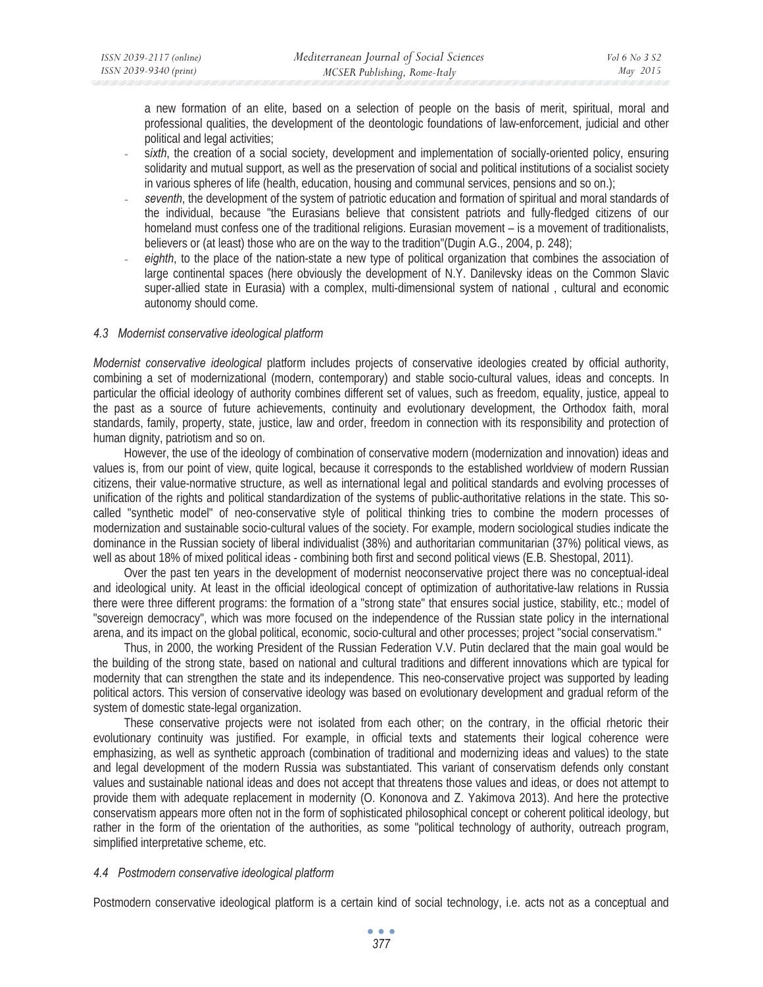a new formation of an elite, based on a selection of people on the basis of merit, spiritual, moral and professional qualities, the development of the deontologic foundations of law-enforcement, judicial and other political and legal activities;

- sixth, the creation of a social society, development and implementation of socially-oriented policy, ensuring solidarity and mutual support, as well as the preservation of social and political institutions of a socialist society in various spheres of life (health, education, housing and communal services, pensions and so on.);
- seventh, the development of the system of patriotic education and formation of spiritual and moral standards of the individual, because "the Eurasians believe that consistent patriots and fully-fledged citizens of our homeland must confess one of the traditional religions. Eurasian movement – is a movement of traditionalists, believers or (at least) those who are on the way to the tradition"(Dugin A.G., 2004, p. 248);
- eighth, to the place of the nation-state a new type of political organization that combines the association of large continental spaces (here obviously the development of N.Y. Danilevsky ideas on the Common Slavic super-allied state in Eurasia) with a complex, multi-dimensional system of national , cultural and economic autonomy should come.

## *4.3 Modernist conservative ideological platform*

*Modernist conservative ideological* platform includes projects of conservative ideologies created by official authority, combining a set of modernizational (modern, contemporary) and stable socio-cultural values, ideas and concepts. In particular the official ideology of authority combines different set of values, such as freedom, equality, justice, appeal to the past as a source of future achievements, continuity and evolutionary development, the Orthodox faith, moral standards, family, property, state, justice, law and order, freedom in connection with its responsibility and protection of human dignity, patriotism and so on.

However, the use of the ideology of combination of conservative modern (modernization and innovation) ideas and values is, from our point of view, quite logical, because it corresponds to the established worldview of modern Russian citizens, their value-normative structure, as well as international legal and political standards and evolving processes of unification of the rights and political standardization of the systems of public-authoritative relations in the state. This socalled "synthetic model" of neo-conservative style of political thinking tries to combine the modern processes of modernization and sustainable socio-cultural values of the society. For example, modern sociological studies indicate the dominance in the Russian society of liberal individualist (38%) and authoritarian communitarian (37%) political views, as well as about 18% of mixed political ideas - combining both first and second political views (E.B. Shestopal, 2011).

Over the past ten years in the development of modernist neoconservative project there was no conceptual-ideal and ideological unity. At least in the official ideological concept of optimization of authoritative-law relations in Russia there were three different programs: the formation of a "strong state" that ensures social justice, stability, etc.; model of "sovereign democracy", which was more focused on the independence of the Russian state policy in the international arena, and its impact on the global political, economic, socio-cultural and other processes; project "social conservatism."

Thus, in 2000, the working President of the Russian Federation V.V. Putin declared that the main goal would be the building of the strong state, based on national and cultural traditions and different innovations which are typical for modernity that can strengthen the state and its independence. This neo-conservative project was supported by leading political actors. This version of conservative ideology was based on evolutionary development and gradual reform of the system of domestic state-legal organization.

These conservative projects were not isolated from each other; on the contrary, in the official rhetoric their evolutionary continuity was justified. For example, in official texts and statements their logical coherence were emphasizing, as well as synthetic approach (combination of traditional and modernizing ideas and values) to the state and legal development of the modern Russia was substantiated. This variant of conservatism defends only constant values and sustainable national ideas and does not accept that threatens those values and ideas, or does not attempt to provide them with adequate replacement in modernity (O. Kononova and Z. Yakimova 2013). And here the protective conservatism appears more often not in the form of sophisticated philosophical concept or coherent political ideology, but rather in the form of the orientation of the authorities, as some "political technology of authority, outreach program, simplified interpretative scheme, etc.

### *4.4 Postmodern conservative ideological platform*

Postmodern conservative ideological platform is a certain kind of social technology, i.e. acts not as a conceptual and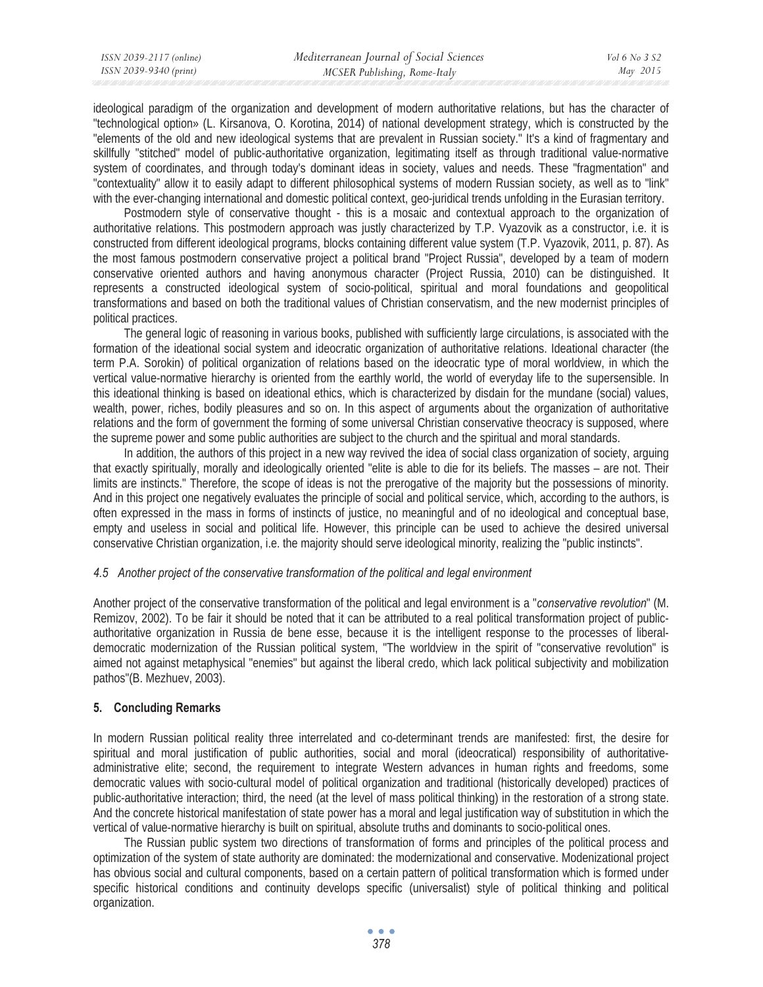| ISSN 2039-2117 (online) | Mediterranean Journal of Social Sciences | Vol 6 No 3 S2 |
|-------------------------|------------------------------------------|---------------|
| ISSN 2039-9340 (print)  | MCSER Publishing, Rome-Italy             | May 2015      |
|                         |                                          |               |

ideological paradigm of the organization and development of modern authoritative relations, but has the character of "technological option» (L. Kirsanova, O. Korotina, 2014) of national development strategy, which is constructed by the "elements of the old and new ideological systems that are prevalent in Russian society." It's a kind of fragmentary and skillfully "stitched" model of public-authoritative organization, legitimating itself as through traditional value-normative system of coordinates, and through today's dominant ideas in society, values and needs. These "fragmentation" and "contextuality" allow it to easily adapt to different philosophical systems of modern Russian society, as well as to "link" with the ever-changing international and domestic political context, geo-juridical trends unfolding in the Eurasian territory.

Postmodern style of conservative thought - this is a mosaic and contextual approach to the organization of authoritative relations. This postmodern approach was justly characterized by T.P. Vyazovik as a constructor, i.e. it is constructed from different ideological programs, blocks containing different value system (T.P. Vyazovik, 2011, p. 87). As the most famous postmodern conservative project a political brand "Project Russia", developed by a team of modern conservative oriented authors and having anonymous character (Project Russia, 2010) can be distinguished. It represents a constructed ideological system of socio-political, spiritual and moral foundations and geopolitical transformations and based on both the traditional values of Christian conservatism, and the new modernist principles of political practices.

The general logic of reasoning in various books, published with sufficiently large circulations, is associated with the formation of the ideational social system and ideocratic organization of authoritative relations. Ideational character (the term P.A. Sorokin) of political organization of relations based on the ideocratic type of moral worldview, in which the vertical value-normative hierarchy is oriented from the earthly world, the world of everyday life to the supersensible. In this ideational thinking is based on ideational ethics, which is characterized by disdain for the mundane (social) values, wealth, power, riches, bodily pleasures and so on. In this aspect of arguments about the organization of authoritative relations and the form of government the forming of some universal Christian conservative theocracy is supposed, where the supreme power and some public authorities are subject to the church and the spiritual and moral standards.

In addition, the authors of this project in a new way revived the idea of social class organization of society, arguing that exactly spiritually, morally and ideologically oriented "elite is able to die for its beliefs. The masses – are not. Their limits are instincts." Therefore, the scope of ideas is not the prerogative of the majority but the possessions of minority. And in this project one negatively evaluates the principle of social and political service, which, according to the authors, is often expressed in the mass in forms of instincts of justice, no meaningful and of no ideological and conceptual base, empty and useless in social and political life. However, this principle can be used to achieve the desired universal conservative Christian organization, i.e. the majority should serve ideological minority, realizing the "public instincts".

## *4.5 Another project of the conservative transformation of the political and legal environment*

Another project of the conservative transformation of the political and legal environment is a "*conservative revolution*" (M. Remizov, 2002). To be fair it should be noted that it can be attributed to a real political transformation project of publicauthoritative organization in Russia de bene esse, because it is the intelligent response to the processes of liberaldemocratic modernization of the Russian political system, "The worldview in the spirit of "conservative revolution" is aimed not against metaphysical "enemies" but against the liberal credo, which lack political subjectivity and mobilization pathos"(B. Mezhuev, 2003).

## **5. Concluding Remarks**

In modern Russian political reality three interrelated and co-determinant trends are manifested: first, the desire for spiritual and moral justification of public authorities, social and moral (ideocratical) responsibility of authoritativeadministrative elite; second, the requirement to integrate Western advances in human rights and freedoms, some democratic values with socio-cultural model of political organization and traditional (historically developed) practices of public-authoritative interaction; third, the need (at the level of mass political thinking) in the restoration of a strong state. And the concrete historical manifestation of state power has a moral and legal justification way of substitution in which the vertical of value-normative hierarchy is built on spiritual, absolute truths and dominants to socio-political ones.

The Russian public system two directions of transformation of forms and principles of the political process and optimization of the system of state authority are dominated: the modernizational and conservative. Modenizational project has obvious social and cultural components, based on a certain pattern of political transformation which is formed under specific historical conditions and continuity develops specific (universalist) style of political thinking and political organization.